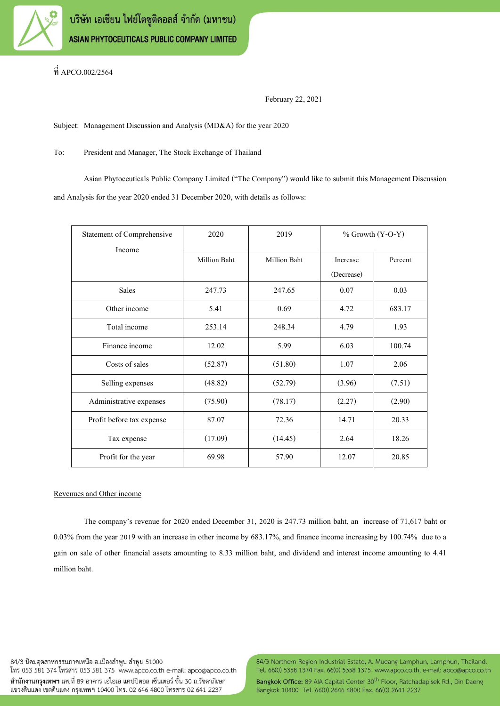

ที่ APCO.002/2564

February 22, 2021

Subject: Management Discussion and Analysis (MD&A) for the year 2020

To: President and Manager, The Stock Exchange of Thailand

Asian Phytoceuticals Public Company Limited ("The Company") would like to submit this Management Discussion and Analysis for the year 2020 ended 31 December 2020, with details as follows:

| Statement of Comprehensive | 2020                | 2019                | $%$ Growth $(Y-O-Y)$ |         |
|----------------------------|---------------------|---------------------|----------------------|---------|
| Income                     | <b>Million Baht</b> | <b>Million Baht</b> | Increase             | Percent |
|                            |                     |                     | (Decrease)           |         |
| <b>Sales</b>               | 247.73              | 247.65              | 0.07                 | 0.03    |
| Other income               | 5.41                | 0.69                | 4.72                 | 683.17  |
| Total income               | 253.14              | 248.34              | 4.79                 | 1.93    |
| Finance income             | 12.02               | 5.99                | 6.03                 | 100.74  |
| Costs of sales             | (52.87)             | (51.80)             | 1.07                 | 2.06    |
| Selling expenses           | (48.82)             | (52.79)             | (3.96)               | (7.51)  |
| Administrative expenses    | (75.90)             | (78.17)             | (2.27)               | (2.90)  |
| Profit before tax expense  | 87.07               | 72.36               | 14.71                | 20.33   |
| Tax expense                | (17.09)             | (14.45)             | 2.64                 | 18.26   |
| Profit for the year        | 69.98               | 57.90               | 12.07                | 20.85   |

## Revenues and Other income

The company's revenue for 2020 ended December 31, 2020 is 247.73 million baht, an increase of 71,617 baht or 0.03% from the year 2019 with an increase in other income by 683.17%, and finance income increasing by 100.74% due to a gain on sale of other financial assets amounting to 8.33 million baht, and dividend and interest income amounting to 4.41 million baht.

84/3 นิคมอตสาหกรรมภาคเหนือ อ.เมืองลำพน ลำพน 51000 โทร 053 581 374 โทรสาร 053 581 375 www.apco.co.th e-mail: apco@apco.co.th ้สำนักงานกรุงเทพฯ เลขที่ 89 อาคาร เอไอเอ แคปปิตอล เซ็นเตอร์ ชั้น 30 ถ.รัชดาภิเษก แขวงดินแดง เขตดินแดง กรุงเทพฯ 10400 โทร. 02 646 4800 โทรสาร 02 641 2237

84/3 Northern Region Industrial Estate, A. Mueang Lamphun, Lamphun, Thailand. Tel. 66(0) 5358 1374 Fax. 66(0) 5358 1375 www.apco.co.th, e-mail: apco@apco.co.th

Bangkok Office: 89 AIA Capital Center 30<sup>th</sup> Floor, Ratchadapisek Rd., Din Daeng Bangkok 10400 Tel. 66(0) 2646 4800 Fax. 66(0) 2641 2237